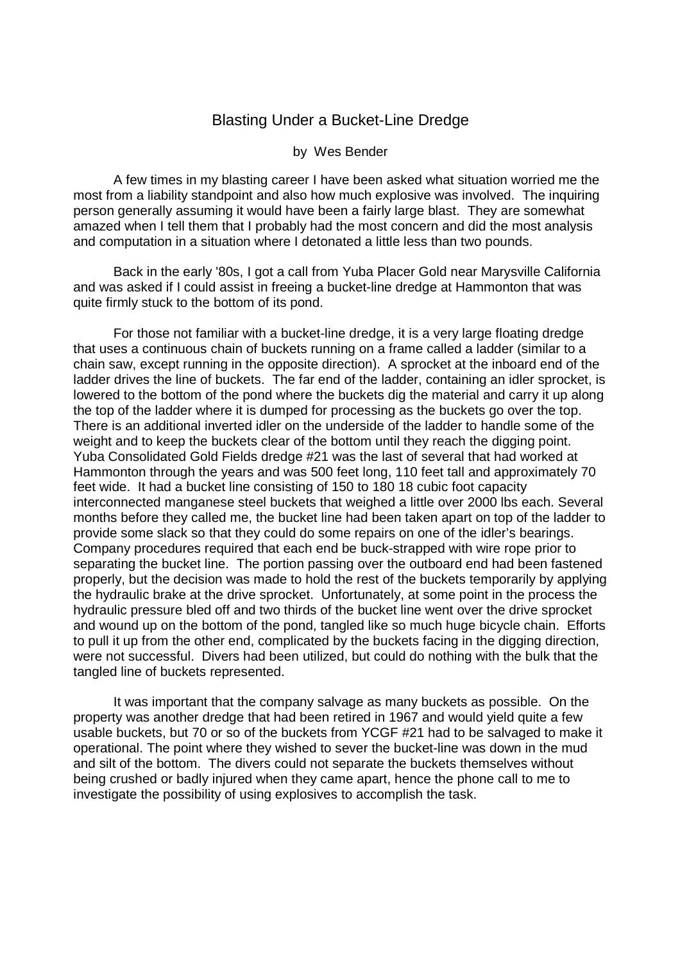## Blasting Under a Bucket-Line Dredge

## by Wes Bender

 A few times in my blasting career I have been asked what situation worried me the most from a liability standpoint and also how much explosive was involved. The inquiring person generally assuming it would have been a fairly large blast. They are somewhat amazed when I tell them that I probably had the most concern and did the most analysis and computation in a situation where I detonated a little less than two pounds.

 Back in the early '80s, I got a call from Yuba Placer Gold near Marysville California and was asked if I could assist in freeing a bucket-line dredge at Hammonton that was quite firmly stuck to the bottom of its pond.

 For those not familiar with a bucket-line dredge, it is a very large floating dredge that uses a continuous chain of buckets running on a frame called a ladder (similar to a chain saw, except running in the opposite direction). A sprocket at the inboard end of the ladder drives the line of buckets. The far end of the ladder, containing an idler sprocket, is lowered to the bottom of the pond where the buckets dig the material and carry it up along the top of the ladder where it is dumped for processing as the buckets go over the top. There is an additional inverted idler on the underside of the ladder to handle some of the weight and to keep the buckets clear of the bottom until they reach the digging point. Yuba Consolidated Gold Fields dredge #21 was the last of several that had worked at Hammonton through the years and was 500 feet long, 110 feet tall and approximately 70 feet wide. It had a bucket line consisting of 150 to 180 18 cubic foot capacity interconnected manganese steel buckets that weighed a little over 2000 lbs each. Several months before they called me, the bucket line had been taken apart on top of the ladder to provide some slack so that they could do some repairs on one of the idler's bearings. Company procedures required that each end be buck-strapped with wire rope prior to separating the bucket line. The portion passing over the outboard end had been fastened properly, but the decision was made to hold the rest of the buckets temporarily by applying the hydraulic brake at the drive sprocket. Unfortunately, at some point in the process the hydraulic pressure bled off and two thirds of the bucket line went over the drive sprocket and wound up on the bottom of the pond, tangled like so much huge bicycle chain. Efforts to pull it up from the other end, complicated by the buckets facing in the digging direction, were not successful. Divers had been utilized, but could do nothing with the bulk that the tangled line of buckets represented.

 It was important that the company salvage as many buckets as possible. On the property was another dredge that had been retired in 1967 and would yield quite a few usable buckets, but 70 or so of the buckets from YCGF #21 had to be salvaged to make it operational. The point where they wished to sever the bucket-line was down in the mud and silt of the bottom. The divers could not separate the buckets themselves without being crushed or badly injured when they came apart, hence the phone call to me to investigate the possibility of using explosives to accomplish the task.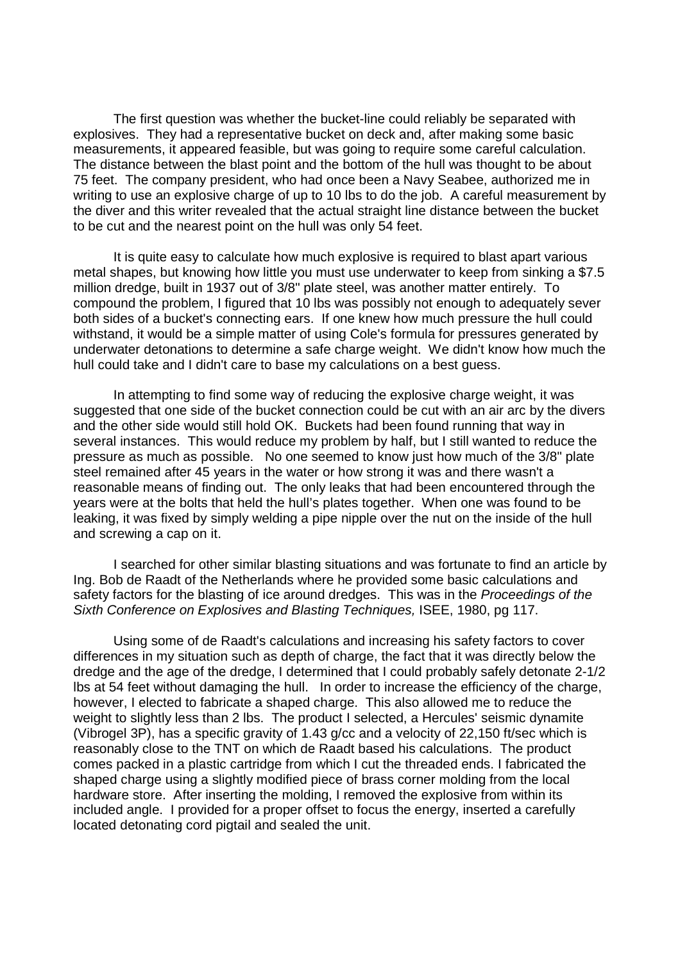The first question was whether the bucket-line could reliably be separated with explosives. They had a representative bucket on deck and, after making some basic measurements, it appeared feasible, but was going to require some careful calculation. The distance between the blast point and the bottom of the hull was thought to be about 75 feet. The company president, who had once been a Navy Seabee, authorized me in writing to use an explosive charge of up to 10 lbs to do the job. A careful measurement by the diver and this writer revealed that the actual straight line distance between the bucket to be cut and the nearest point on the hull was only 54 feet.

 It is quite easy to calculate how much explosive is required to blast apart various metal shapes, but knowing how little you must use underwater to keep from sinking a \$7.5 million dredge, built in 1937 out of 3/8" plate steel, was another matter entirely. To compound the problem, I figured that 10 lbs was possibly not enough to adequately sever both sides of a bucket's connecting ears. If one knew how much pressure the hull could withstand, it would be a simple matter of using Cole's formula for pressures generated by underwater detonations to determine a safe charge weight. We didn't know how much the hull could take and I didn't care to base my calculations on a best guess.

 In attempting to find some way of reducing the explosive charge weight, it was suggested that one side of the bucket connection could be cut with an air arc by the divers and the other side would still hold OK. Buckets had been found running that way in several instances. This would reduce my problem by half, but I still wanted to reduce the pressure as much as possible. No one seemed to know just how much of the 3/8" plate steel remained after 45 years in the water or how strong it was and there wasn't a reasonable means of finding out. The only leaks that had been encountered through the years were at the bolts that held the hull's plates together. When one was found to be leaking, it was fixed by simply welding a pipe nipple over the nut on the inside of the hull and screwing a cap on it.

 I searched for other similar blasting situations and was fortunate to find an article by Ing. Bob de Raadt of the Netherlands where he provided some basic calculations and safety factors for the blasting of ice around dredges. This was in the Proceedings of the Sixth Conference on Explosives and Blasting Techniques, ISEE, 1980, pg 117.

 Using some of de Raadt's calculations and increasing his safety factors to cover differences in my situation such as depth of charge, the fact that it was directly below the dredge and the age of the dredge, I determined that I could probably safely detonate 2-1/2 lbs at 54 feet without damaging the hull. In order to increase the efficiency of the charge, however, I elected to fabricate a shaped charge. This also allowed me to reduce the weight to slightly less than 2 lbs. The product I selected, a Hercules' seismic dynamite (Vibrogel 3P), has a specific gravity of 1.43 g/cc and a velocity of 22,150 ft/sec which is reasonably close to the TNT on which de Raadt based his calculations. The product comes packed in a plastic cartridge from which I cut the threaded ends. I fabricated the shaped charge using a slightly modified piece of brass corner molding from the local hardware store. After inserting the molding, I removed the explosive from within its included angle. I provided for a proper offset to focus the energy, inserted a carefully located detonating cord pigtail and sealed the unit.